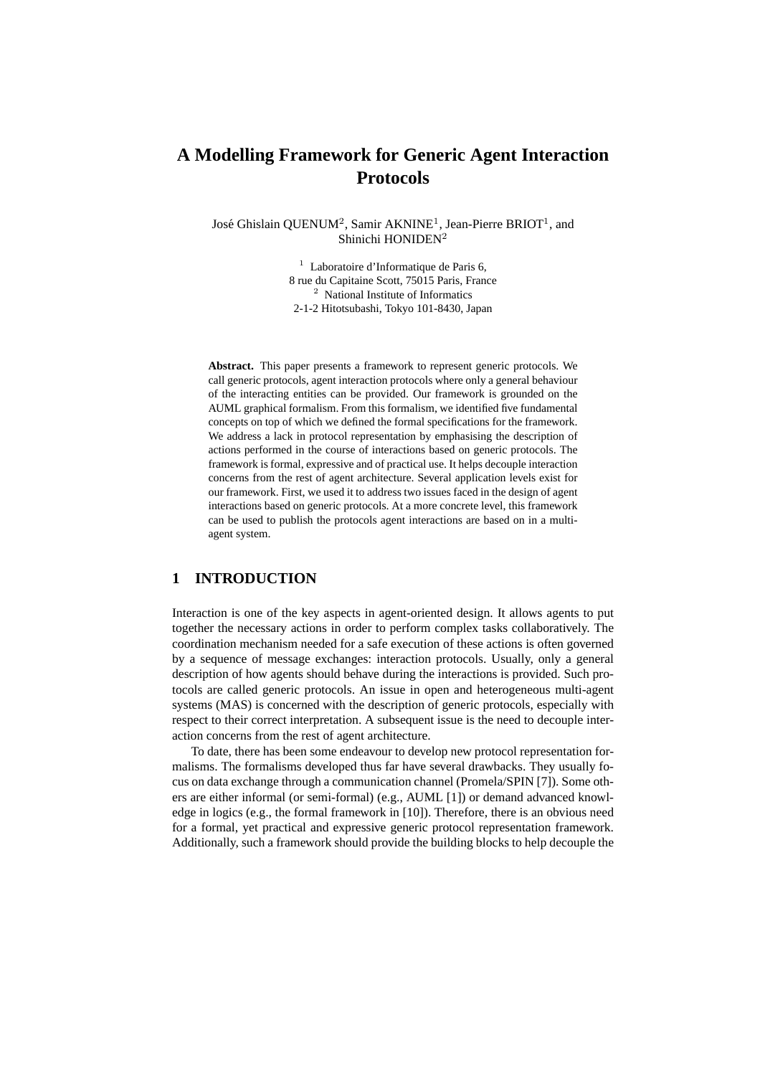# **A Modelling Framework for Generic Agent Interaction Protocols**

José Ghislain QUENUM<sup>2</sup>, Samir AKNINE<sup>1</sup>, Jean-Pierre BRIOT<sup>1</sup>, and Shinichi HONIDEN<sup>2</sup>

> $1$  Laboratoire d'Informatique de Paris 6, 8 rue du Capitaine Scott, 75015 Paris, France <sup>2</sup> National Institute of Informatics 2-1-2 Hitotsubashi, Tokyo 101-8430, Japan

Abstract. This paper presents a framework to represent generic protocols. We call generic protocols, agent interaction protocols where only a general behaviour of the interacting entities can be provided. Our framework is grounded on the AUML graphical formalism. From this formalism, we identified five fundamental concepts on top of which we defined the formal specifications for the framework. We address a lack in protocol representation by emphasising the description of actions performed in the course of interactions based on generic protocols. The framework is formal, expressive and of practical use. It helps decouple interaction concerns from the rest of agent architecture. Several application levels exist for our framework. First, we used it to address two issues faced in the design of agent interactions based on generic protocols. At a more concrete level, this framework can be used to publish the protocols agent interactions are based on in a multiagent system.

## **1 INTRODUCTION**

Interaction is one of the key aspects in agent-oriented design. It allows agents to put together the necessary actions in order to perform complex tasks collaboratively. The coordination mechanism needed for a safe execution of these actions is often governed by a sequence of message exchanges: interaction protocols. Usually, only a general description of how agents should behave during the interactions is provided. Such protocols are called generic protocols. An issue in open and heterogeneous multi-agent systems (MAS) is concerned with the description of generic protocols, especially with respect to their correct interpretation. A subsequent issue is the need to decouple interaction concerns from the rest of agent architecture.

To date, there has been some endeavour to develop new protocol representation formalisms. The formalisms developed thus far have several drawbacks. They usually focus on data exchange through a communication channel (Promela/SPIN [7]). Some others are either informal (or semi-formal) (e.g., AUML [1]) or demand advanced knowledge in logics (e.g., the formal framework in [10]). Therefore, there is an obvious need for a formal, yet practical and expressive generic protocol representation framework. Additionally, such a framework should provide the building blocks to help decouple the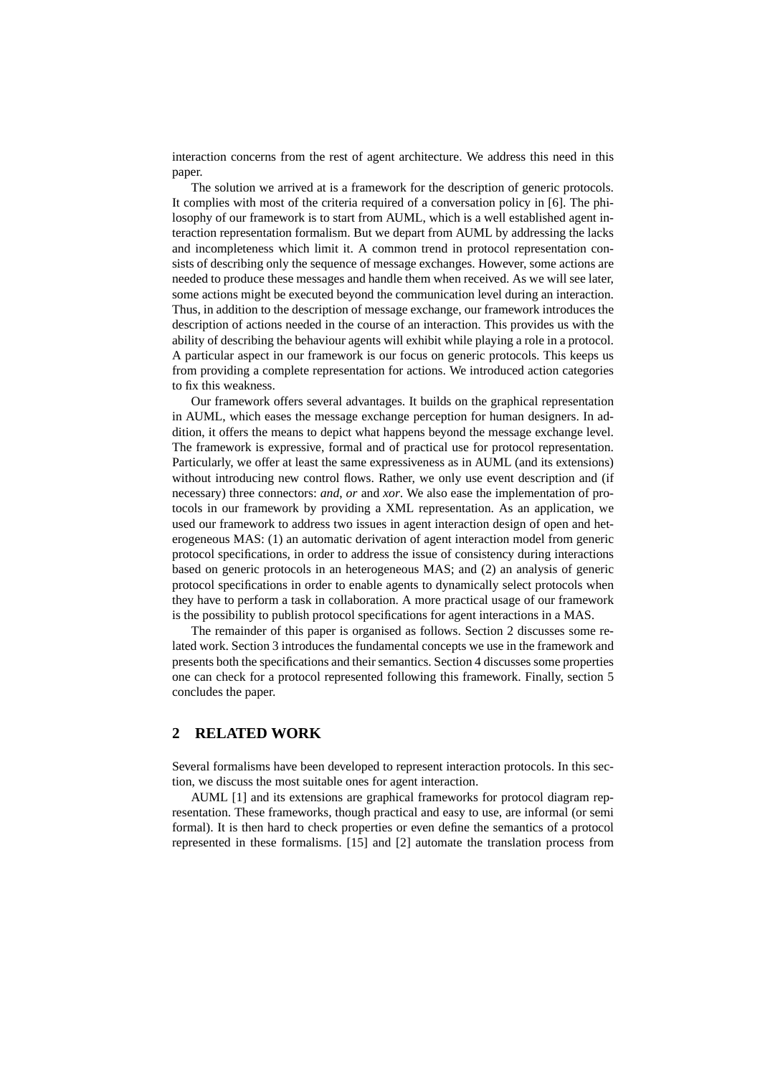interaction concerns from the rest of agent architecture. We address this need in this paper.

The solution we arrived at is a framework for the description of generic protocols. It complies with most of the criteria required of a conversation policy in [6]. The philosophy of our framework is to start from AUML, which is a well established agent interaction representation formalism. But we depart from AUML by addressing the lacks and incompleteness which limit it. A common trend in protocol representation consists of describing only the sequence of message exchanges. However, some actions are needed to produce these messages and handle them when received. As we will see later, some actions might be executed beyond the communication level during an interaction. Thus, in addition to the description of message exchange, our framework introduces the description of actions needed in the course of an interaction. This provides us with the ability of describing the behaviour agents will exhibit while playing a role in a protocol. A particular aspect in our framework is our focus on generic protocols. This keeps us from providing a complete representation for actions. We introduced action categories to fix this weakness.

Our framework offers several advantages. It builds on the graphical representation in AUML, which eases the message exchange perception for human designers. In addition, it offers the means to depict what happens beyond the message exchange level. The framework is expressive, formal and of practical use for protocol representation. Particularly, we offer at least the same expressiveness as in AUML (and its extensions) without introducing new control flows. Rather, we only use event description and (if necessary) three connectors: *and*, *or* and *xor*. We also ease the implementation of protocols in our framework by providing a XML representation. As an application, we used our framework to address two issues in agent interaction design of open and heterogeneous MAS: (1) an automatic derivation of agent interaction model from generic protocol specifications, in order to address the issue of consistency during interactions based on generic protocols in an heterogeneous MAS; and (2) an analysis of generic protocol specifications in order to enable agents to dynamically select protocols when they have to perform a task in collaboration. A more practical usage of our framework is the possibility to publish protocol specifications for agent interactions in a MAS.

The remainder of this paper is organised as follows. Section 2 discusses some related work. Section 3 introduces the fundamental concepts we use in the framework and presents both the specifications and their semantics. Section 4 discusses some properties one can check for a protocol represented following this framework. Finally, section 5 concludes the paper.

## **2 RELATED WORK**

Several formalisms have been developed to represent interaction protocols. In this section, we discuss the most suitable ones for agent interaction.

AUML [1] and its extensions are graphical frameworks for protocol diagram representation. These frameworks, though practical and easy to use, are informal (or semi formal). It is then hard to check properties or even define the semantics of a protocol represented in these formalisms. [15] and [2] automate the translation process from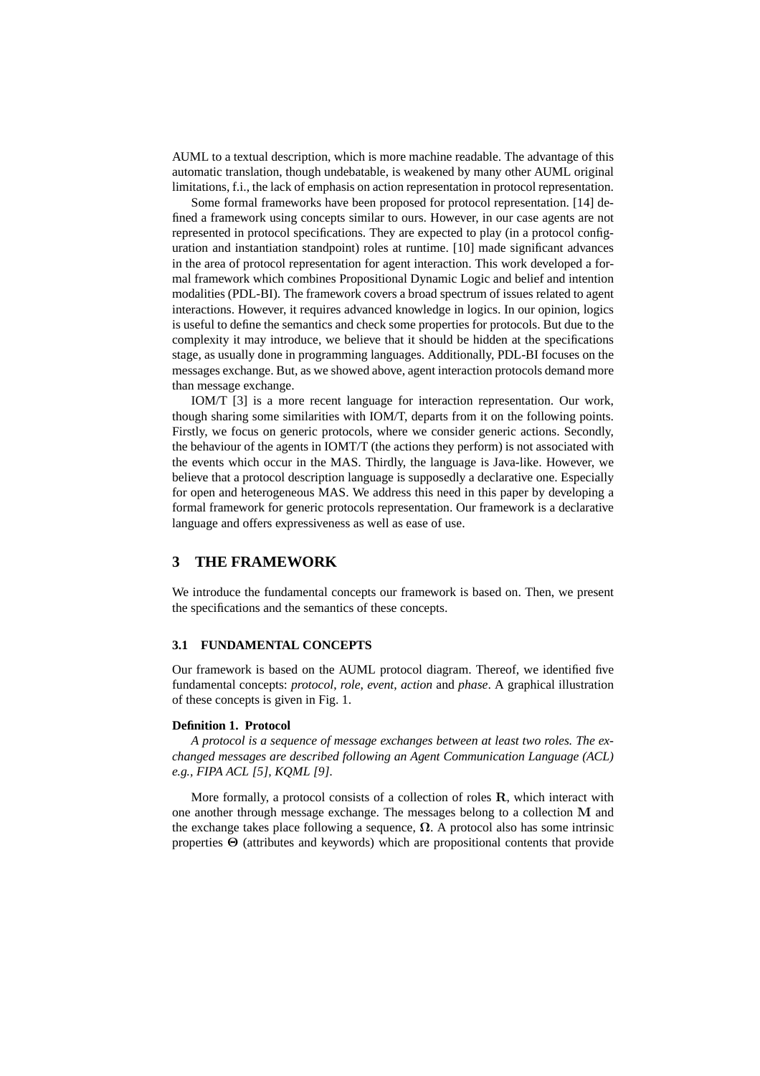AUML to a textual description, which is more machine readable. The advantage of this automatic translation, though undebatable, is weakened by many other AUML original limitations, f.i., the lack of emphasis on action representation in protocol representation.

Some formal frameworks have been proposed for protocol representation. [14] defined a framework using concepts similar to ours. However, in our case agents are not represented in protocol specifications. They are expected to play (in a protocol configuration and instantiation standpoint) roles at runtime. [10] made significant advances in the area of protocol representation for agent interaction. This work developed a formal framework which combines Propositional Dynamic Logic and belief and intention modalities (PDL-BI). The framework covers a broad spectrum of issues related to agent interactions. However, it requires advanced knowledge in logics. In our opinion, logics is useful to define the semantics and check some properties for protocols. But due to the complexity it may introduce, we believe that it should be hidden at the specifications stage, as usually done in programming languages. Additionally, PDL-BI focuses on the messages exchange. But, as we showed above, agent interaction protocols demand more than message exchange.

IOM/T [3] is a more recent language for interaction representation. Our work, though sharing some similarities with IOM/T, departs from it on the following points. Firstly, we focus on generic protocols, where we consider generic actions. Secondly, the behaviour of the agents in IOMT/T (the actions they perform) is not associated with the events which occur in the MAS. Thirdly, the language is Java-like. However, we believe that a protocol description language is supposedly a declarative one. Especially for open and heterogeneous MAS. We address this need in this paper by developing a formal framework for generic protocols representation. Our framework is a declarative language and offers expressiveness as well as ease of use.

## **3 THE FRAMEWORK**

We introduce the fundamental concepts our framework is based on. Then, we present the specifications and the semantics of these concepts.

#### **3.1 FUNDAMENTAL CONCEPTS**

Our framework is based on the AUML protocol diagram. Thereof, we identified five fundamental concepts: *protocol*, *role*, *event*, *action* and *phase*. A graphical illustration of these concepts is given in Fig. 1.

#### **Definition 1. Protocol**

*A protocol is a sequence of message exchanges between at least two roles. The exchanged messages are described following an Agent Communication Language (ACL) e.g., FIPA ACL [5], KQML [9].*

More formally, a protocol consists of a collection of roles  $R$ , which interact with one another through message exchange. The messages belong to a collection M and the exchange takes place following a sequence,  $\Omega$ . A protocol also has some intrinsic properties Θ (attributes and keywords) which are propositional contents that provide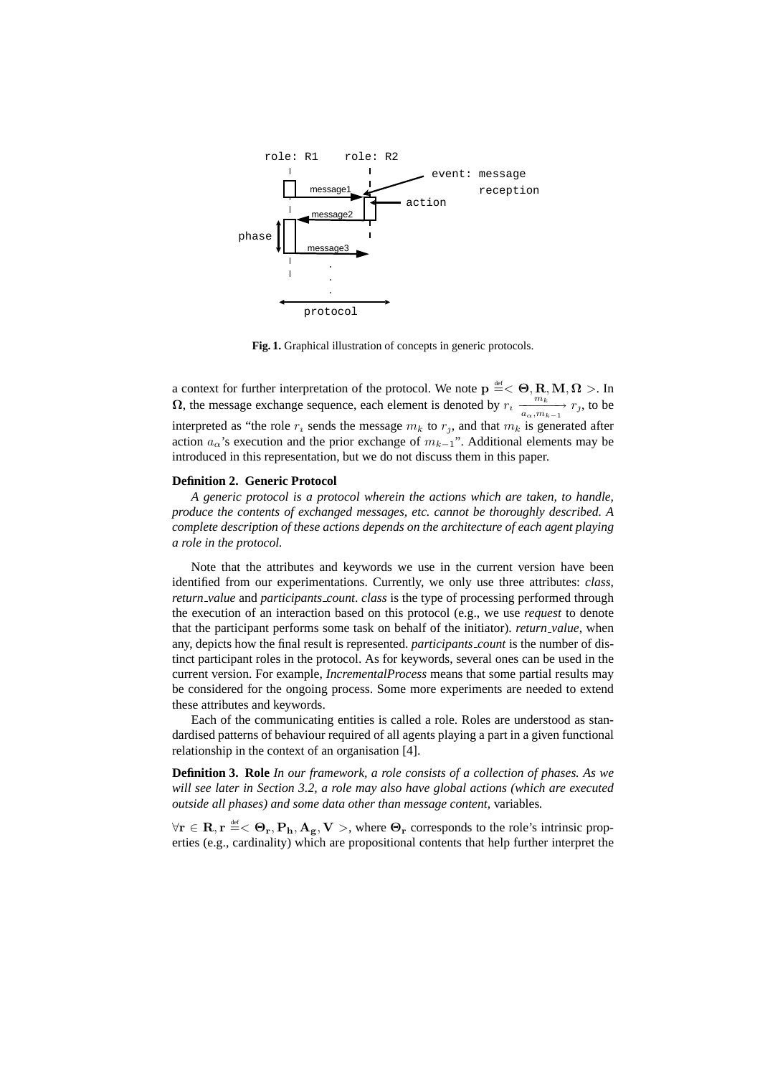

**Fig. 1.** Graphical illustration of concepts in generic protocols.

a context for further interpretation of the protocol. We note  $p \stackrel{\text{def}}{=} \langle \Theta, R, M, \Omega \rangle$ . In  $\Omega$ , the message exchange sequence, each element is denoted by  $r_i \xrightarrow[a_{\alpha},m_{k-1}]} r_j$ , to be interpreted as "the role  $r_i$  sends the message  $m_k$  to  $r_j$ , and that  $m_k$  is generated after action  $a_{\alpha}$ 's execution and the prior exchange of  $m_{k-1}$ ". Additional elements may be introduced in this representation, but we do not discuss them in this paper.

### **Definition 2. Generic Protocol**

*A generic protocol is a protocol wherein the actions which are taken, to handle, produce the contents of exchanged messages, etc. cannot be thoroughly described. A complete description of these actions depends on the architecture of each agent playing a role in the protocol.*

Note that the attributes and keywords we use in the current version have been identified from our experimentations. Currently, we only use three attributes: *class*, *return value* and *participants count*. *class* is the type of processing performed through the execution of an interaction based on this protocol (e.g., we use *request* to denote that the participant performs some task on behalf of the initiator). *return value*, when any, depicts how the final result is represented. *participants count* is the number of distinct participant roles in the protocol. As for keywords, several ones can be used in the current version. For example, *IncrementalProcess* means that some partial results may be considered for the ongoing process. Some more experiments are needed to extend these attributes and keywords.

Each of the communicating entities is called a role. Roles are understood as standardised patterns of behaviour required of all agents playing a part in a given functional relationship in the context of an organisation [4].

**Definition 3. Role** *In our framework, a role consists of a collection of phases. As we will see later in Section 3.2, a role may also have global actions (which are executed outside all phases) and some data other than message content,* variables*.*

 $\forall r \in R, r \stackrel{\text{\tiny def}}{=} <\Theta_r, P_h, A_g, V>,$  where  $\Theta_r$  corresponds to the role's intrinsic properties (e.g., cardinality) which are propositional contents that help further interpret the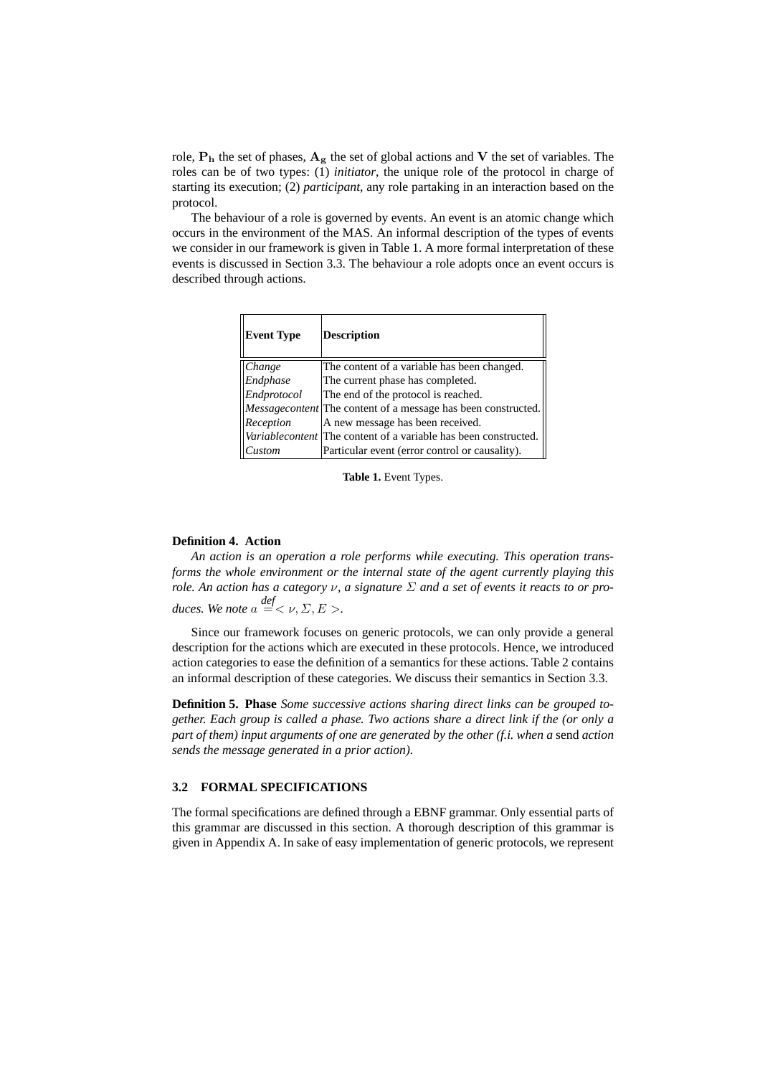role,  $P_h$  the set of phases,  $A_g$  the set of global actions and V the set of variables. The roles can be of two types: (1) *initiator*, the unique role of the protocol in charge of starting its execution; (2) *participant*, any role partaking in an interaction based on the protocol.

The behaviour of a role is governed by events. An event is an atomic change which occurs in the environment of the MAS. An informal description of the types of events we consider in our framework is given in Table 1. A more formal interpretation of these events is discussed in Section 3.3. The behaviour a role adopts once an event occurs is described through actions.

| <b>Event Type</b>     | <b>Description</b>                                                     |
|-----------------------|------------------------------------------------------------------------|
| Change                | The content of a variable has been changed.                            |
| Endphase              | The current phase has completed.                                       |
| Endprotocol           | The end of the protocol is reached.                                    |
|                       | <i>Messagecontent</i> The content of a message has been constructed.   |
| Reception             | A new message has been received.                                       |
|                       | <i>Variablecontent</i> The content of a variable has been constructed. |
| $\vert$ <i>Custom</i> | Particular event (error control or causality).                         |

**Table 1.** Event Types.

#### **Definition 4. Action**

*An action is an operation a role performs while executing. This operation transforms the whole environment or the internal state of the agent currently playing this role. An action has a category*  $\nu$ , a signature  $\Sigma$  and a set of events it reacts to or pro*duces.* We note  $a \stackrel{\text{def}}{=} < \nu, \Sigma, E>$ .

Since our framework focuses on generic protocols, we can only provide a general description for the actions which are executed in these protocols. Hence, we introduced action categories to ease the definition of a semantics for these actions. Table 2 contains an informal description of these categories. We discuss their semantics in Section 3.3.

**Definition 5. Phase** *Some successive actions sharing direct links can be grouped together. Each group is called a phase. Two actions share a direct link if the (or only a part of them) input arguments of one are generated by the other (f.i. when a* send *action sends the message generated in a prior action).*

### **3.2 FORMAL SPECIFICATIONS**

The formal specifications are defined through a EBNF grammar. Only essential parts of this grammar are discussed in this section. A thorough description of this grammar is given in Appendix A. In sake of easy implementation of generic protocols, we represent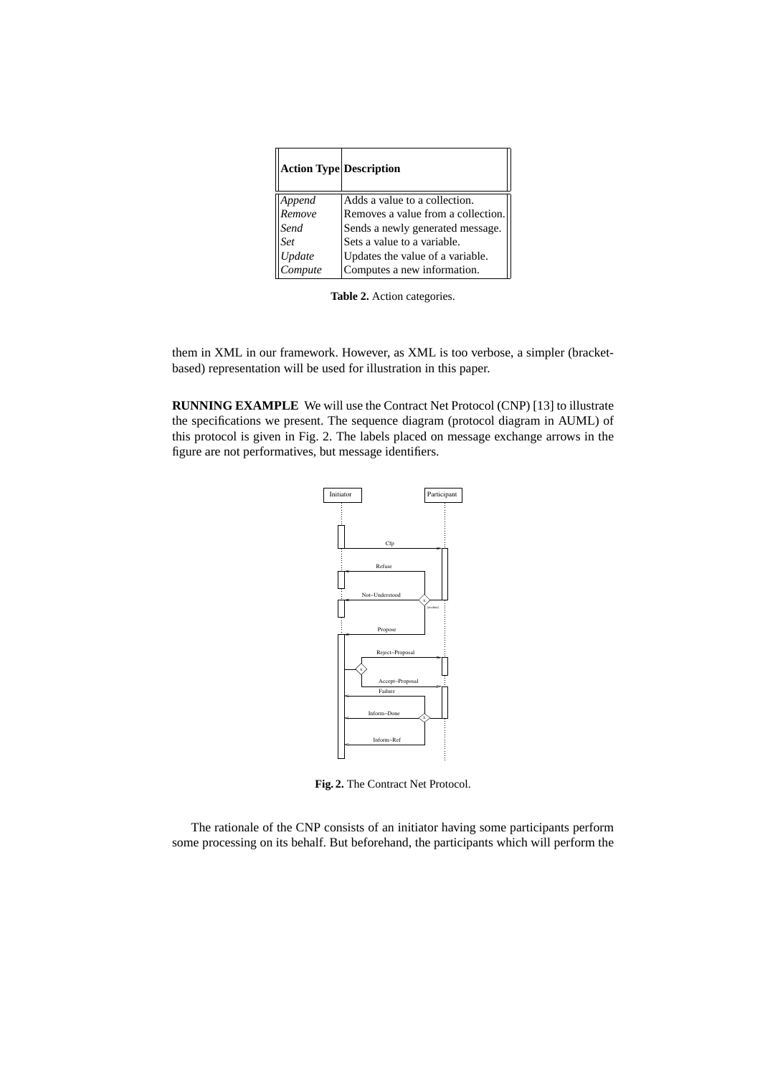|            | <b>Action Type Description</b>     |
|------------|------------------------------------|
| Append     | Adds a value to a collection.      |
| <br>Remove | Removes a value from a collection. |
| Send       | Sends a newly generated message.   |
| <b>Set</b> | Sets a value to a variable.        |
| Update     | Updates the value of a variable.   |
| Compute    | Computes a new information.        |

**Table 2.** Action categories.

them in XML in our framework. However, as XML is too verbose, a simpler (bracketbased) representation will be used for illustration in this paper.

**RUNNING EXAMPLE** We will use the Contract Net Protocol (CNP) [13] to illustrate the specifications we present. The sequence diagram (protocol diagram in AUML) of this protocol is given in Fig. 2. The labels placed on message exchange arrows in the figure are not performatives, but message identifiers.



**Fig. 2.** The Contract Net Protocol.

The rationale of the CNP consists of an initiator having some participants perform some processing on its behalf. But beforehand, the participants which will perform the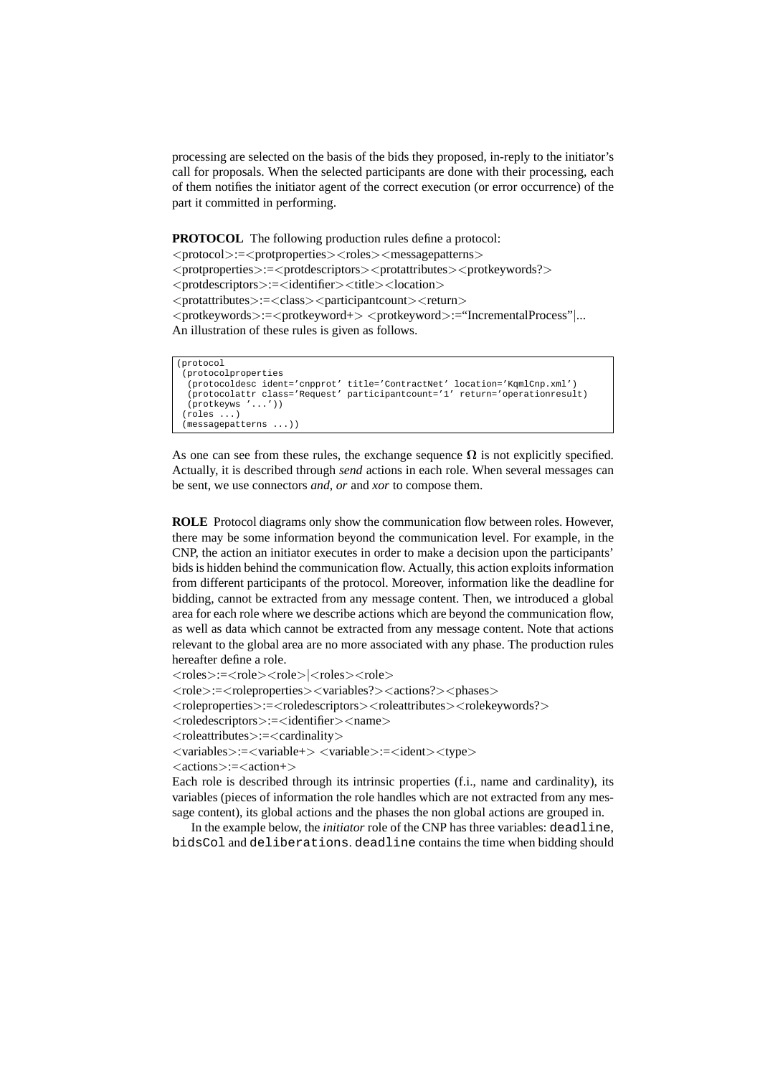processing are selected on the basis of the bids they proposed, in-reply to the initiator's call for proposals. When the selected participants are done with their processing, each of them notifies the initiator agent of the correct execution (or error occurrence) of the part it committed in performing.

**PROTOCOL** The following production rules define a protocol:

 $<$ protocol $>:=$  $<$ protproperties $>$  $<$ roles $>$  $<$ messagepatterns $>$ 

<protproperties>:=<protdescriptors><protattributes><protkeywords?>

<protdescriptors>:=<identifier><title><location>

<protattributes>:=<class><participantcount><return>

<protkeywords>:=<protkeyword+> <protkeyword>:="IncrementalProcess"|... An illustration of these rules is given as follows.

```
(protocol
(protocolproperties
  (protocoldesc ident='cnpprot' title='ContractNet' location='KqmlCnp.xml')
  (protocolattr class='Request' participantcount='1' return='operationresult)
  (protkeyws '...'))
(roles ...)
(messagepatterns ...))
```
As one can see from these rules, the exchange sequence  $\Omega$  is not explicitly specified. Actually, it is described through *send* actions in each role. When several messages can be sent, we use connectors *and*, *or* and *xor* to compose them.

**ROLE** Protocol diagrams only show the communication flow between roles. However, there may be some information beyond the communication level. For example, in the CNP, the action an initiator executes in order to make a decision upon the participants' bids is hidden behind the communication flow. Actually, this action exploits information from different participants of the protocol. Moreover, information like the deadline for bidding, cannot be extracted from any message content. Then, we introduced a global area for each role where we describe actions which are beyond the communication flow, as well as data which cannot be extracted from any message content. Note that actions relevant to the global area are no more associated with any phase. The production rules hereafter define a role.

<roles>:=<role><role>|<roles><role>

<role>:=<roleproperties><variables?><actions?><phases>

<roleproperties>:=<roledescriptors><roleattributes><rolekeywords?>

<roledescriptors>:=<identifier><name>

<roleattributes>:=<cardinality>

<variables>:=<variable+> <variable>:=<ident><type>

<actions>:=<action+>

Each role is described through its intrinsic properties (f.i., name and cardinality), its variables (pieces of information the role handles which are not extracted from any message content), its global actions and the phases the non global actions are grouped in.

In the example below, the *initiator* role of the CNP has three variables: deadline, bidsCol and deliberations. deadline contains the time when bidding should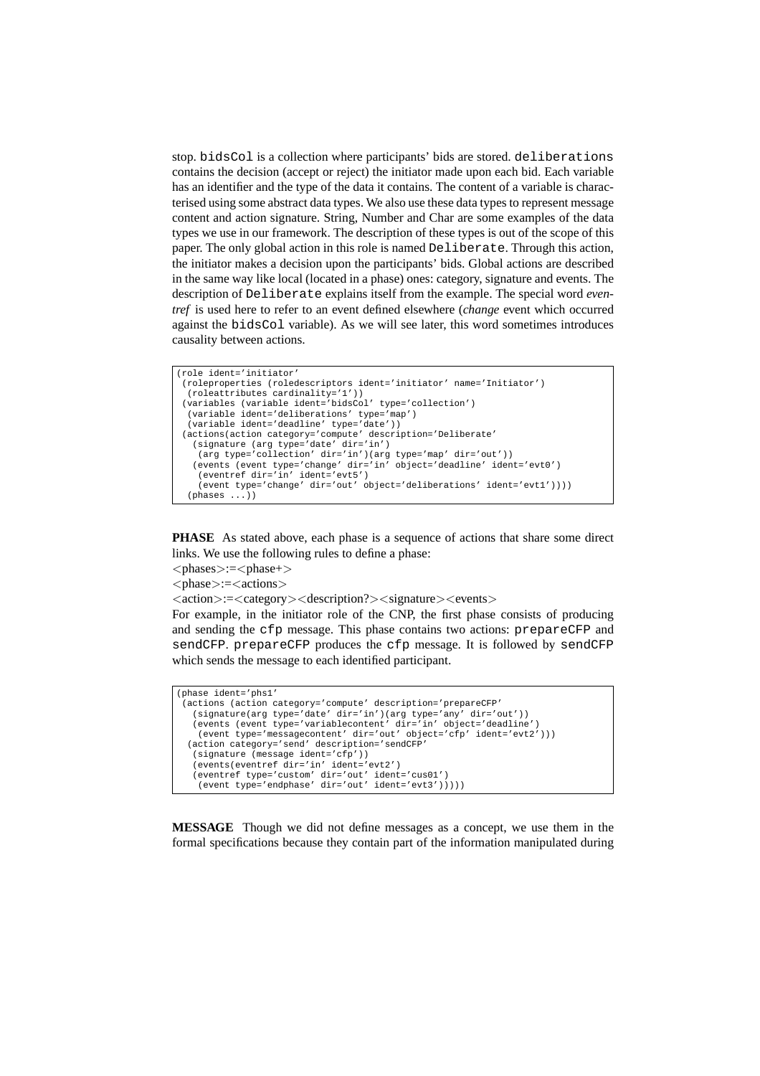stop. bidsCol is a collection where participants' bids are stored. deliberations contains the decision (accept or reject) the initiator made upon each bid. Each variable has an identifier and the type of the data it contains. The content of a variable is characterised using some abstract data types. We also use these data types to represent message content and action signature. String, Number and Char are some examples of the data types we use in our framework. The description of these types is out of the scope of this paper. The only global action in this role is named Deliberate. Through this action, the initiator makes a decision upon the participants' bids. Global actions are described in the same way like local (located in a phase) ones: category, signature and events. The description of Deliberate explains itself from the example. The special word *eventref* is used here to refer to an event defined elsewhere (*change* event which occurred against the bidsCol variable). As we will see later, this word sometimes introduces causality between actions.

```
(role ident='initiator'
(roleproperties (roledescriptors ident='initiator' name='Initiator')
  (roleattributes cardinality='1'))
(variables (variable ident='bidsCol' type='collection')
  (variable ident='deliberations' type='map')
  (variable ident='deadline' type='date'))
(actions(action category='compute' description='Deliberate'
  (signature (arg type='date' dir='in')
    (arg type='collection' dir='in')(arg type='map' dir='out'))
   (events (event type='change' dir='in' object='deadline' ident='evt0')
    (eventref dir='in' ident='evt5')
    (event type='change' dir='out' object='deliberations' ident='evt1'))))
  (phases ...))
```
**PHASE** As stated above, each phase is a sequence of actions that share some direct links. We use the following rules to define a phase:

 $<$ phases $>:=$  $<$ phase+ $>$ 

<phase>:=<actions>

```
<action>:=<category><description?><signature><events>
```
For example, in the initiator role of the CNP, the first phase consists of producing and sending the cfp message. This phase contains two actions: prepareCFP and sendCFP. prepareCFP produces the cfp message. It is followed by sendCFP which sends the message to each identified participant.

```
(phase ident='phs1'
 (actions (action category='compute' description='prepareCFP'
   (signature(arg type='date' dir='in')(arg type='any' dir='out'))
   (events (event type='variablecontent' dir='in' object='deadline')
    (event type='messagecontent' dir='out' object='cfp' ident='evt2')))
  (action category='send' description='sendCFP'
   (signature (message ident='cfp'))
(events(eventref dir='in' ident='evt2')
   (eventref type='custom' dir='out' ident='cus01')
(event type='endphase' dir='out' ident='evt3')))))
```
**MESSAGE** Though we did not define messages as a concept, we use them in the formal specifications because they contain part of the information manipulated during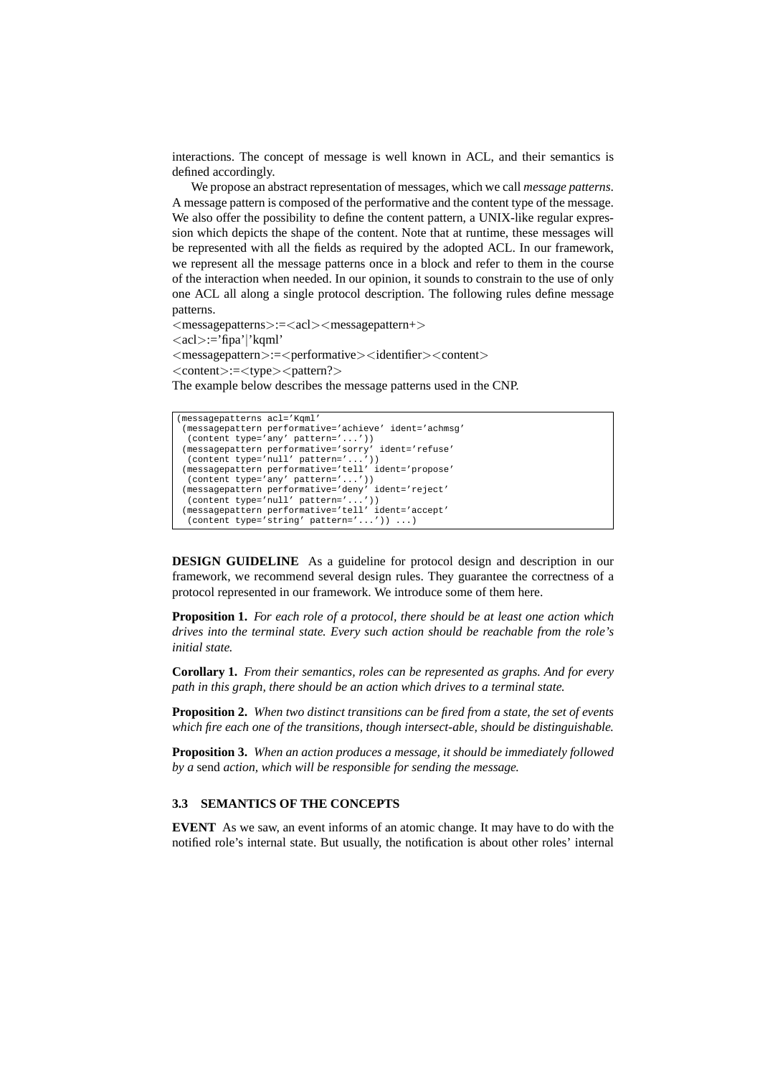interactions. The concept of message is well known in ACL, and their semantics is defined accordingly.

We propose an abstract representation of messages, which we call *message patterns*. A message pattern is composed of the performative and the content type of the message. We also offer the possibility to define the content pattern, a UNIX-like regular expression which depicts the shape of the content. Note that at runtime, these messages will be represented with all the fields as required by the adopted ACL. In our framework, we represent all the message patterns once in a block and refer to them in the course of the interaction when needed. In our opinion, it sounds to constrain to the use of only one ACL all along a single protocol description. The following rules define message patterns.

 $<$ messagepatterns>:=<acl><messagepattern+>  $\langle \text{acl}\rangle := \text{'fipa'}\text{'}\text{'kqml'}$ <messagepattern>:=<performative><identifier><content> <content>:=<type><pattern?>

The example below describes the message patterns used in the CNP.

```
(messagepatterns acl='Kqml'
 (messagepattern performative='achieve' ident='achmsg'
 (content type='any' pattern='...'))
(messagepattern performative='sorry' ident='refuse'
(content type='null' pattern='...'))
 (messagepattern performative='tell' ident='propose'
 (content type='any' pattern='...'))
(messagepattern performative='deny' ident='reject'
  (content type='null' pattern='...'))
 (messagepattern performative='tell' ident='accept'
(content type='string' pattern='...')) ...)
```
**DESIGN GUIDELINE** As a guideline for protocol design and description in our framework, we recommend several design rules. They guarantee the correctness of a protocol represented in our framework. We introduce some of them here.

**Proposition 1.** *For each role of a protocol, there should be at least one action which drives into the terminal state. Every such action should be reachable from the role's initial state.*

**Corollary 1.** *From their semantics, roles can be represented as graphs. And for every path in this graph, there should be an action which drives to a terminal state.*

**Proposition 2.** *When two distinct transitions can be fired from a state, the set of events which fire each one of the transitions, though intersect-able, should be distinguishable.*

**Proposition 3.** *When an action produces a message, it should be immediately followed by a* send *action, which will be responsible for sending the message.*

### **3.3 SEMANTICS OF THE CONCEPTS**

**EVENT** As we saw, an event informs of an atomic change. It may have to do with the notified role's internal state. But usually, the notification is about other roles' internal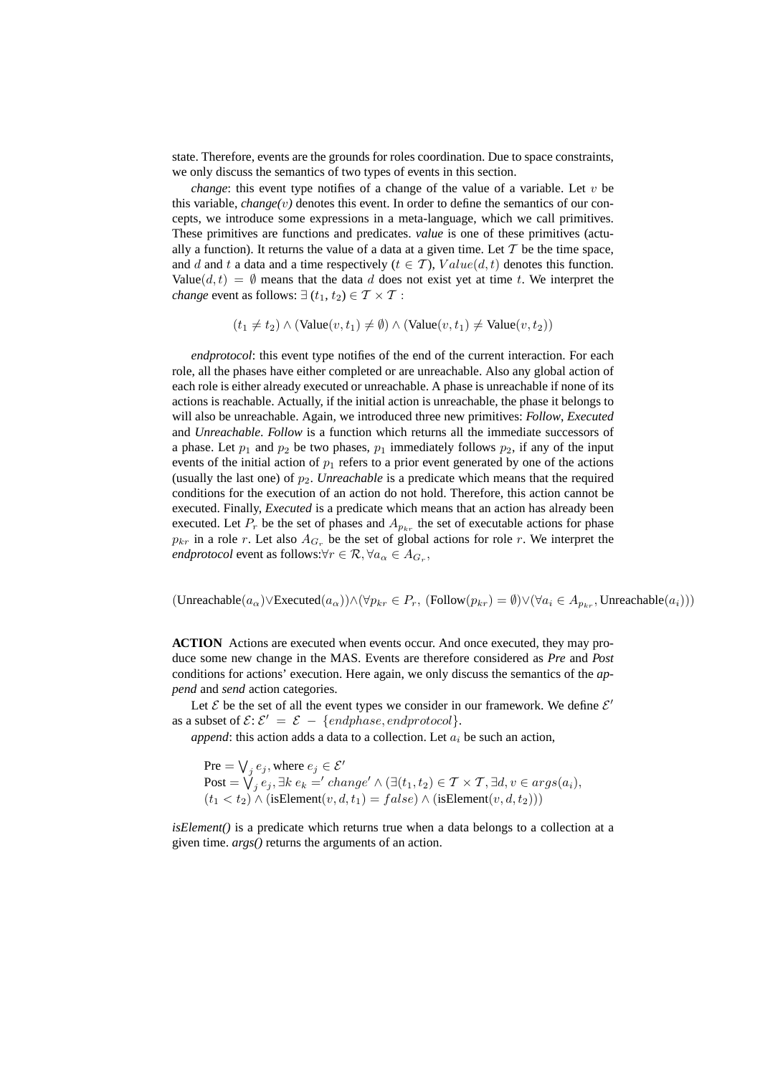state. Therefore, events are the grounds for roles coordination. Due to space constraints, we only discuss the semantics of two types of events in this section.

*change*: this event type notifies of a change of the value of a variable. Let  $v$  be this variable, *change(v)* denotes this event. In order to define the semantics of our concepts, we introduce some expressions in a meta-language, which we call primitives. These primitives are functions and predicates. *value* is one of these primitives (actually a function). It returns the value of a data at a given time. Let  $T$  be the time space, and d and t a data and a time respectively ( $t \in \mathcal{T}$ ),  $Value(d, t)$  denotes this function. Value(d, t) =  $\emptyset$  means that the data d does not exist yet at time t. We interpret the *change* event as follows:  $\exists$  ( $t_1, t_2$ )  $\in$   $\mathcal{T} \times \mathcal{T}$  :

 $(t_1 \neq t_2) \wedge$  (Value $(v, t_1) \neq \emptyset$ )  $\wedge$  (Value $(v, t_1) \neq$  Value $(v, t_2)$ )

*endprotocol*: this event type notifies of the end of the current interaction. For each role, all the phases have either completed or are unreachable. Also any global action of each role is either already executed or unreachable. A phase is unreachable if none of its actions is reachable. Actually, if the initial action is unreachable, the phase it belongs to will also be unreachable. Again, we introduced three new primitives: *Follow*, *Executed* and *Unreachable*. *Follow* is a function which returns all the immediate successors of a phase. Let  $p_1$  and  $p_2$  be two phases,  $p_1$  immediately follows  $p_2$ , if any of the input events of the initial action of  $p_1$  refers to a prior event generated by one of the actions (usually the last one) of  $p_2$ . *Unreachable* is a predicate which means that the required conditions for the execution of an action do not hold. Therefore, this action cannot be executed. Finally, *Executed* is a predicate which means that an action has already been executed. Let  $P_r$  be the set of phases and  $A_{p_{kr}}$  the set of executable actions for phase  $p_{kr}$  in a role r. Let also  $A_{G_r}$  be the set of global actions for role r. We interpret the *endprotocol* event as follows: $\forall r \in \mathcal{R}, \forall a_{\alpha} \in A_{G_r},$ 

 $(\text{Unreachable}(a_{\alpha}) \vee \text{Executed}(a_{\alpha})) \wedge (\forall p_{kr} \in P_r, \text{ (Follow}(p_{kr})) = \emptyset) \vee (\forall a_i \in A_{p_{kr}}, \text{Unreachable}(a_i)))$ 

**ACTION** Actions are executed when events occur. And once executed, they may produce some new change in the MAS. Events are therefore considered as *Pre* and *Post* conditions for actions' execution. Here again, we only discuss the semantics of the *append* and *send* action categories.

Let  $\mathcal E$  be the set of all the event types we consider in our framework. We define  $\mathcal E'$ as a subset of  $\mathcal{E}$ :  $\mathcal{E}' = \mathcal{E} - \{endphase, endprotocol\}.$ 

*append*: this action adds a data to a collection. Let  $a_i$  be such an action,

Pre =  $\bigvee_j e_j$ , where  $e_j \in \mathcal{E}'$  $\text{Post} = \bigvee_{j} e_j, \exists k \ e_k =' change' \land (\exists (t_1, t_2) \in \mathcal{T} \times \mathcal{T}, \exists d, v \in args(a_i)),$  $(t_1 < t_2) \wedge (isElement(v, d, t_1) = false) \wedge (isElement(v, d, t_2)))$ 

*isElement()* is a predicate which returns true when a data belongs to a collection at a given time. *args()* returns the arguments of an action.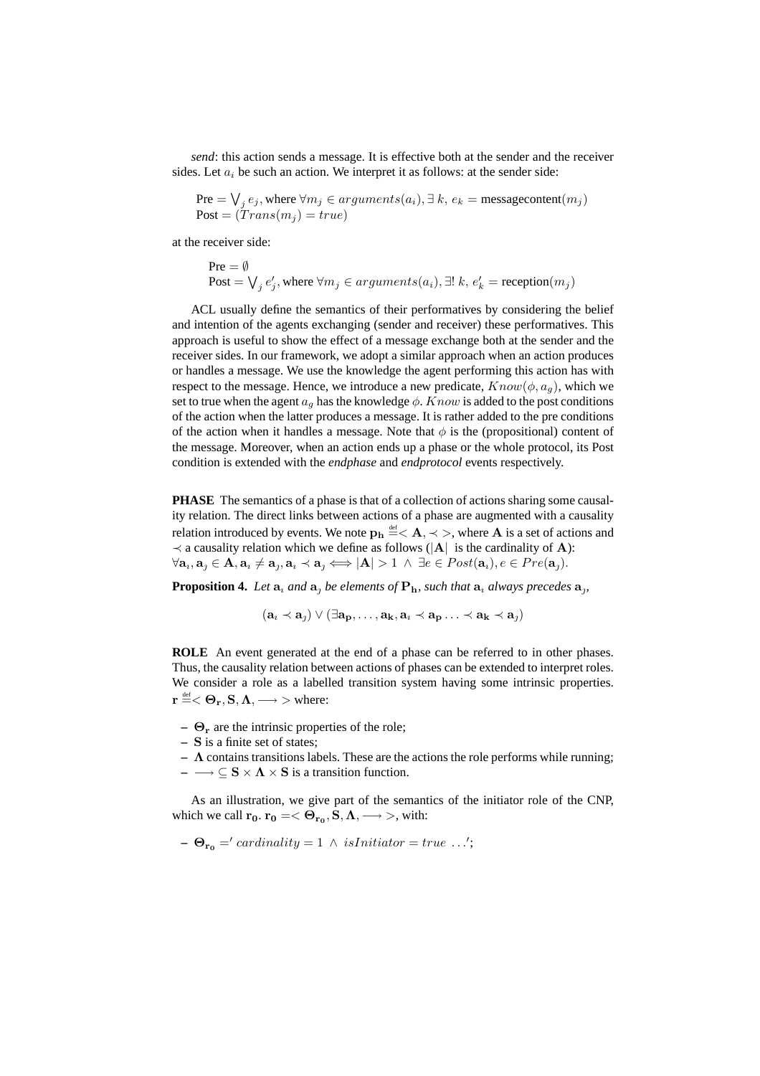*send*: this action sends a message. It is effective both at the sender and the receiver sides. Let  $a_i$  be such an action. We interpret it as follows: at the sender side:

Pre = 
$$
\bigvee_j e_j
$$
, where  $\forall m_j \in arguments(a_i), \exists k, e_k = messagecontent(m_j)$   
Post =  $(Trans(m_j) = true)$ 

at the receiver side:

$$
\begin{aligned} \text{Pre} &= \emptyset \\ \text{Post} &= \bigvee_j e_j', \text{where } \forall m_j \in arguments(a_i), \exists! \ k, e_k' = \text{reception}(m_j) \end{aligned}
$$

ACL usually define the semantics of their performatives by considering the belief and intention of the agents exchanging (sender and receiver) these performatives. This approach is useful to show the effect of a message exchange both at the sender and the receiver sides. In our framework, we adopt a similar approach when an action produces or handles a message. We use the knowledge the agent performing this action has with respect to the message. Hence, we introduce a new predicate,  $Know(\phi, a_{\alpha})$ , which we set to true when the agent  $a<sub>a</sub>$  has the knowledge  $\phi$ . Know is added to the post conditions of the action when the latter produces a message. It is rather added to the pre conditions of the action when it handles a message. Note that  $\phi$  is the (propositional) content of the message. Moreover, when an action ends up a phase or the whole protocol, its Post condition is extended with the *endphase* and *endprotocol* events respectively.

**PHASE** The semantics of a phase is that of a collection of actions sharing some causality relation. The direct links between actions of a phase are augmented with a causality relation introduced by events. We note  $\mathbf{p_h} \stackrel{\text{\tiny def}}{=} <\mathbf{A}, \prec>,$  where  $\mathbf{A}$  is a set of actions and  $\prec$  a causality relation which we define as follows ( $|A|$  is the cardinality of A):  $\forall \mathbf{a}_i, \mathbf{a}_j \in \mathbf{A}, \mathbf{a}_i \neq \mathbf{a}_j, \mathbf{a}_i \prec \mathbf{a}_j \Longleftrightarrow |\mathbf{A}| > 1 \ \land \ \exists e \in Post(\mathbf{a}_i), e \in Pre(\mathbf{a}_j).$ 

**Proposition 4.** Let  $a_i$  and  $a_j$  be elements of  $P_h$ , such that  $a_i$  always precedes  $a_j$ ,

 $(a_i \prec a_j) \vee (\exists a_p, \ldots, a_k, a_i \prec a_p \ldots \prec a_k \prec a_j)$ 

**ROLE** An event generated at the end of a phase can be referred to in other phases. Thus, the causality relation between actions of phases can be extended to interpret roles. We consider a role as a labelled transition system having some intrinsic properties.  $\mathbf{r} \stackrel{\text{\tiny def}}{=} <\mathbf{\Theta_r}, \mathbf{S}, \mathbf{\Lambda}, \longrightarrow> \text{where:}$ 

- $-\Theta_r$  are the intrinsic properties of the role;
- **–** S is a finite set of states;
- $-\Lambda$  contains transitions labels. These are the actions the role performs while running;
- $\textbf{-}\longrightarrow$  ⊆ **S** × **Λ** × **S** is a transition function.

As an illustration, we give part of the semantics of the initiator role of the CNP, which we call  ${\bf r_{0}}.{\bf r_{0}}=<\bf \Theta_{r_{0}},S,\Lambda,\longrightarrow>$ , with:

 $- \Theta_{\mathbf{r}_0} =' cardinality = 1 \wedge isInitiator = true \dots';$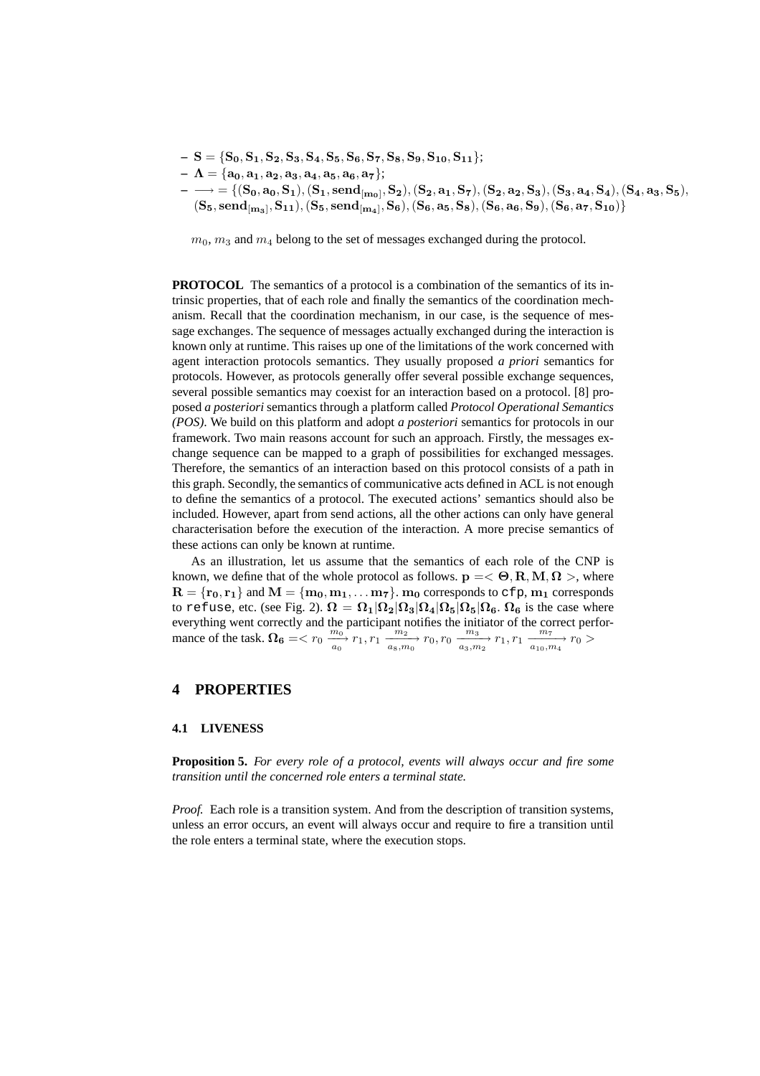- $-$  S = {S<sub>0</sub>, S<sub>1</sub>, S<sub>2</sub>, S<sub>3</sub>, S<sub>4</sub>, S<sub>5</sub>, S<sub>6</sub>, S<sub>7</sub>, S<sub>8</sub>, S<sub>9</sub>, S<sub>10</sub>, S<sub>11</sub>};
- $-\Lambda = \{a_0, a_1, a_2, a_3, a_4, a_5, a_6, a_7\};$
- $\longrightarrow = \{ (\mathbf{S_0}, \mathbf{a_0}, \mathbf{S_1}), (\mathbf{S_1}, \mathbf{send}_{[m_0]}, \mathbf{S_2}), (\mathbf{S_2}, \mathbf{a_1}, \mathbf{S_7}), (\mathbf{S_2}, \mathbf{a_2}, \mathbf{S_3}), (\mathbf{S_3}, \mathbf{a_4}, \mathbf{S_4}), (\mathbf{S_4}, \mathbf{a_3}, \mathbf{S_5}),$  $(S_5, send_{[m_3]}, S_{11}), (S_5, send_{[m_4]}, S_6), (S_6, a_5, S_8), (S_6, a_6, S_9), (S_6, a_7, S_{10})\}$

 $m_0$ ,  $m_3$  and  $m_4$  belong to the set of messages exchanged during the protocol.

**PROTOCOL** The semantics of a protocol is a combination of the semantics of its intrinsic properties, that of each role and finally the semantics of the coordination mechanism. Recall that the coordination mechanism, in our case, is the sequence of message exchanges. The sequence of messages actually exchanged during the interaction is known only at runtime. This raises up one of the limitations of the work concerned with agent interaction protocols semantics. They usually proposed *a priori* semantics for protocols. However, as protocols generally offer several possible exchange sequences, several possible semantics may coexist for an interaction based on a protocol. [8] proposed *a posteriori* semantics through a platform called *Protocol Operational Semantics (POS)*. We build on this platform and adopt *a posteriori* semantics for protocols in our framework. Two main reasons account for such an approach. Firstly, the messages exchange sequence can be mapped to a graph of possibilities for exchanged messages. Therefore, the semantics of an interaction based on this protocol consists of a path in this graph. Secondly, the semantics of communicative acts defined in ACL is not enough to define the semantics of a protocol. The executed actions' semantics should also be included. However, apart from send actions, all the other actions can only have general characterisation before the execution of the interaction. A more precise semantics of these actions can only be known at runtime.

As an illustration, let us assume that the semantics of each role of the CNP is known, we define that of the whole protocol as follows.  $p = < \Theta, R, M, \Omega >$ , where  $R = {r_0, r_1}$  and  $M = {m_0, m_1, \ldots m_7}$ .  $m_0$  corresponds to cfp,  $m_1$  corresponds to refuse, etc. (see Fig. 2).  $\Omega = \Omega_1 |\Omega_2 |\Omega_3 |\Omega_4 |\Omega_5 |\Omega_6 |\Omega_6$ .  $\Omega_6$  is the case where everything went correctly and the participant notifies the initiator of the correct performance of the task.  $\Omega_6 = \langle r_0 \frac{m_0}{a_0} r_1, r_1 \frac{m_2}{a_8, m_0} r_0, r_0 \frac{m_3}{a_3, m_2} r_1, r_1 \frac{m_7}{a_{10}, m_4} r_0 \rangle$ 

### **4 PROPERTIES**

#### **4.1 LIVENESS**

**Proposition 5.** *For every role of a protocol, events will always occur and fire some transition until the concerned role enters a terminal state.*

*Proof.* Each role is a transition system. And from the description of transition systems, unless an error occurs, an event will always occur and require to fire a transition until the role enters a terminal state, where the execution stops.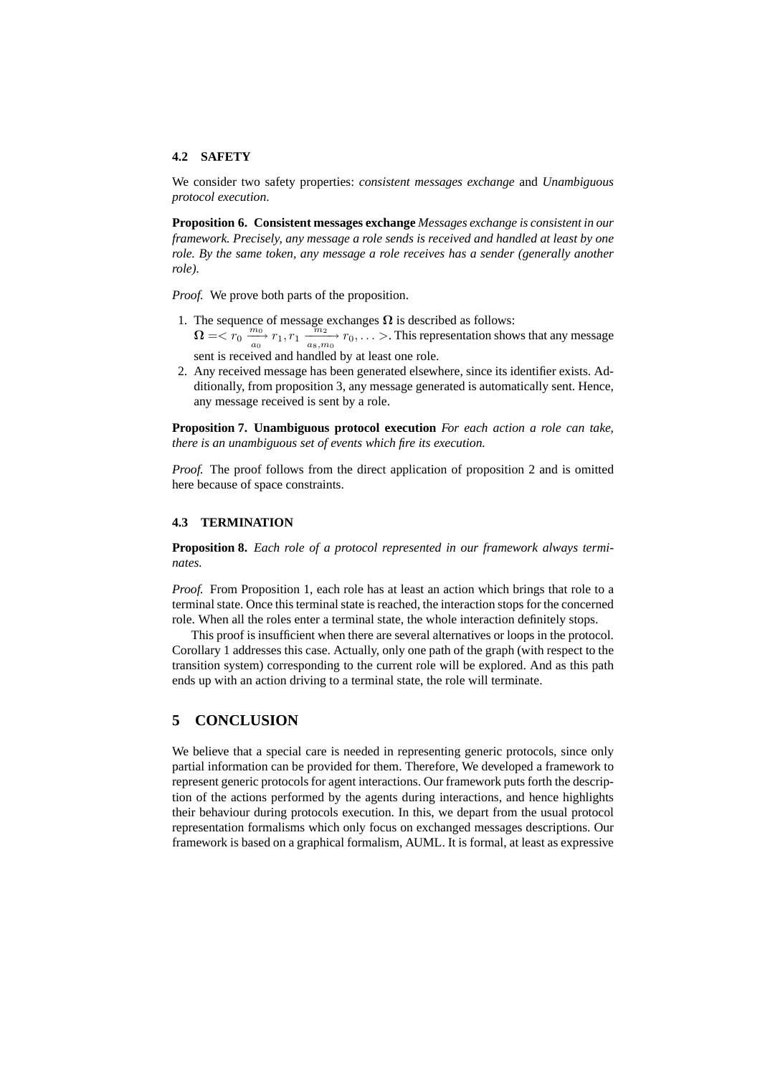#### **4.2 SAFETY**

We consider two safety properties: *consistent messages exchange* and *Unambiguous protocol execution*.

**Proposition 6. Consistent messages exchange** *Messages exchange is consistent in our framework. Precisely, any message a role sends is received and handled at least by one role. By the same token, any message a role receives has a sender (generally another role).*

*Proof.* We prove both parts of the proposition.

- 1. The sequence of message exchanges  $\Omega$  is described as follows:  $\Omega = \langle r_0 \xrightarrow{m_0} r_1, r_1 \xrightarrow{m_2} r_0, \ldots \rangle$ . This representation shows that any message  $\frac{m_0}{a_0}$   $r_1, r_1 \xrightarrow[a_8, m_0]{m_2}$ sent is received and handled by at least one role.
- 2. Any received message has been generated elsewhere, since its identifier exists. Additionally, from proposition 3, any message generated is automatically sent. Hence, any message received is sent by a role.

**Proposition 7. Unambiguous protocol execution** *For each action a role can take, there is an unambiguous set of events which fire its execution.*

*Proof.* The proof follows from the direct application of proposition 2 and is omitted here because of space constraints.

#### **4.3 TERMINATION**

**Proposition 8.** *Each role of a protocol represented in our framework always terminates.*

*Proof.* From Proposition 1, each role has at least an action which brings that role to a terminal state. Once this terminal state is reached, the interaction stops for the concerned role. When all the roles enter a terminal state, the whole interaction definitely stops.

This proof is insufficient when there are several alternatives or loops in the protocol. Corollary 1 addresses this case. Actually, only one path of the graph (with respect to the transition system) corresponding to the current role will be explored. And as this path ends up with an action driving to a terminal state, the role will terminate.

## **5 CONCLUSION**

We believe that a special care is needed in representing generic protocols, since only partial information can be provided for them. Therefore, We developed a framework to represent generic protocols for agent interactions. Our framework puts forth the description of the actions performed by the agents during interactions, and hence highlights their behaviour during protocols execution. In this, we depart from the usual protocol representation formalisms which only focus on exchanged messages descriptions. Our framework is based on a graphical formalism, AUML. It is formal, at least as expressive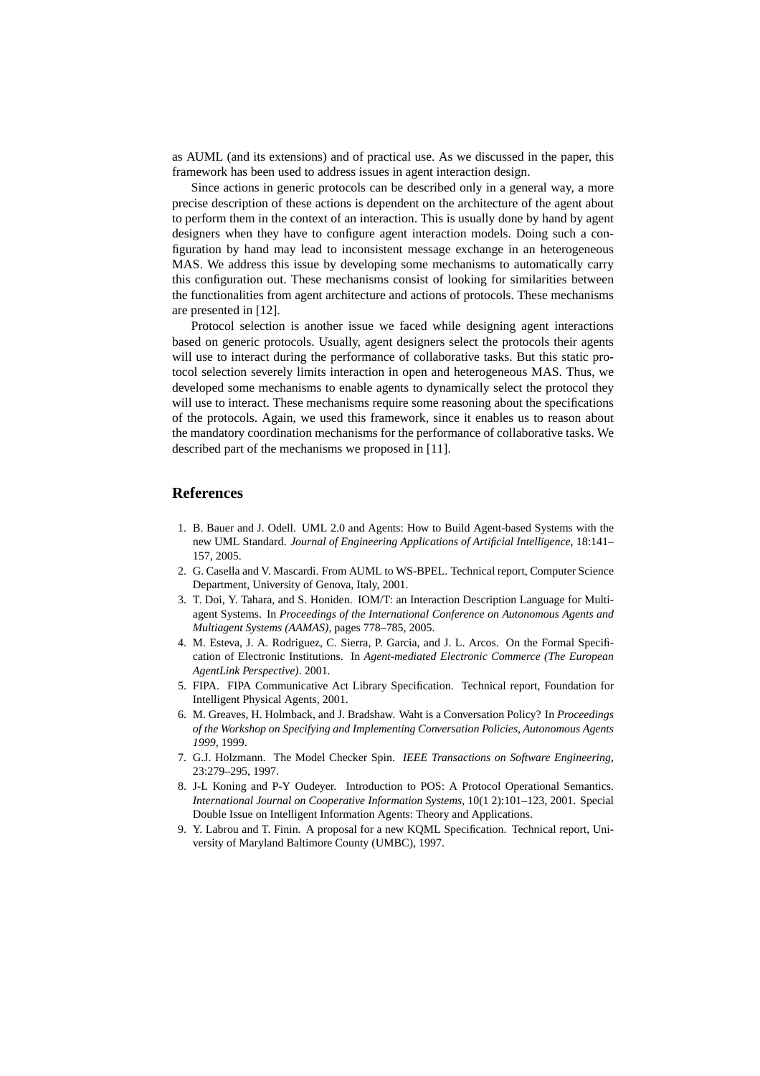as AUML (and its extensions) and of practical use. As we discussed in the paper, this framework has been used to address issues in agent interaction design.

Since actions in generic protocols can be described only in a general way, a more precise description of these actions is dependent on the architecture of the agent about to perform them in the context of an interaction. This is usually done by hand by agent designers when they have to configure agent interaction models. Doing such a configuration by hand may lead to inconsistent message exchange in an heterogeneous MAS. We address this issue by developing some mechanisms to automatically carry this configuration out. These mechanisms consist of looking for similarities between the functionalities from agent architecture and actions of protocols. These mechanisms are presented in [12].

Protocol selection is another issue we faced while designing agent interactions based on generic protocols. Usually, agent designers select the protocols their agents will use to interact during the performance of collaborative tasks. But this static protocol selection severely limits interaction in open and heterogeneous MAS. Thus, we developed some mechanisms to enable agents to dynamically select the protocol they will use to interact. These mechanisms require some reasoning about the specifications of the protocols. Again, we used this framework, since it enables us to reason about the mandatory coordination mechanisms for the performance of collaborative tasks. We described part of the mechanisms we proposed in [11].

## **References**

- 1. B. Bauer and J. Odell. UML 2.0 and Agents: How to Build Agent-based Systems with the new UML Standard. *Journal of Engineering Applications of Artificial Intelligence*, 18:141– 157, 2005.
- 2. G. Casella and V. Mascardi. From AUML to WS-BPEL. Technical report, Computer Science Department, University of Genova, Italy, 2001.
- 3. T. Doi, Y. Tahara, and S. Honiden. IOM/T: an Interaction Description Language for Multiagent Systems. In *Proceedings of the International Conference on Autonomous Agents and Multiagent Systems (AAMAS)*, pages 778–785, 2005.
- 4. M. Esteva, J. A. Rodriguez, C. Sierra, P. Garcia, and J. L. Arcos. On the Formal Specification of Electronic Institutions. In *Agent-mediated Electronic Commerce (The European AgentLink Perspective)*. 2001.
- 5. FIPA. FIPA Communicative Act Library Specification. Technical report, Foundation for Intelligent Physical Agents, 2001.
- 6. M. Greaves, H. Holmback, and J. Bradshaw. Waht is a Conversation Policy? In *Proceedings of the Workshop on Specifying and Implementing Conversation Policies, Autonomous Agents 1999*, 1999.
- 7. G.J. Holzmann. The Model Checker Spin. *IEEE Transactions on Software Engineering*, 23:279–295, 1997.
- 8. J-L Koning and P-Y Oudeyer. Introduction to POS: A Protocol Operational Semantics. *International Journal on Cooperative Information Systems*, 10(1 2):101–123, 2001. Special Double Issue on Intelligent Information Agents: Theory and Applications.
- 9. Y. Labrou and T. Finin. A proposal for a new KQML Specification. Technical report, University of Maryland Baltimore County (UMBC), 1997.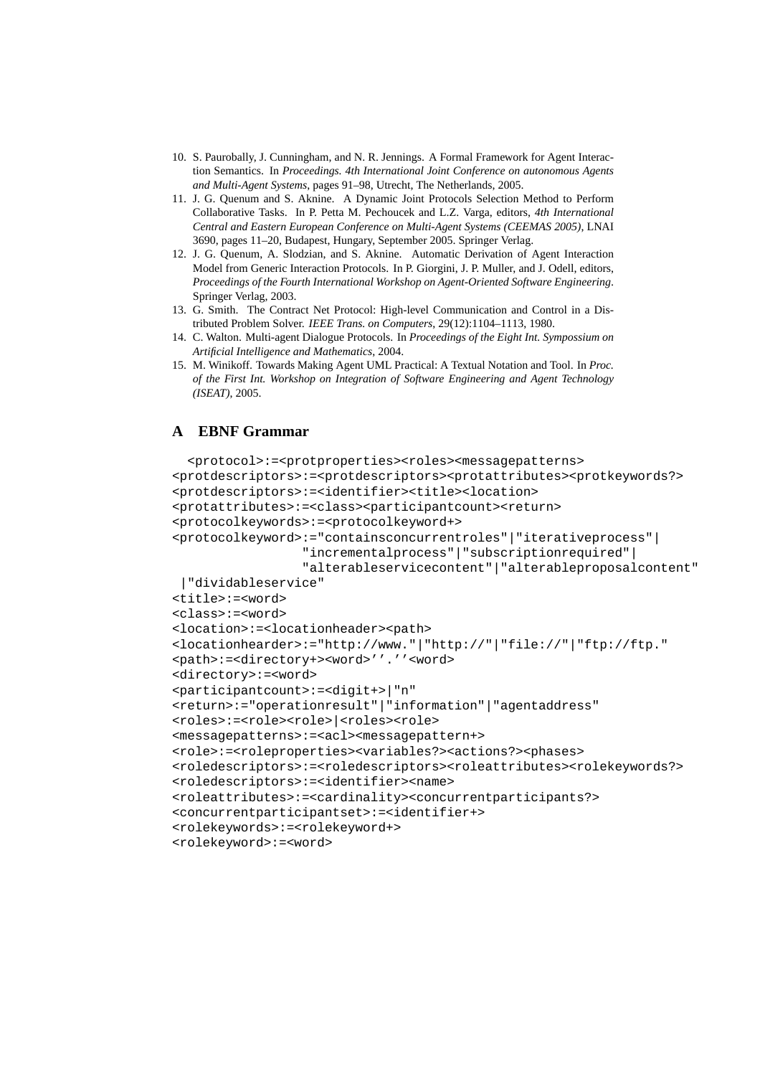- 10. S. Paurobally, J. Cunningham, and N. R. Jennings. A Formal Framework for Agent Interaction Semantics. In *Proceedings. 4th International Joint Conference on autonomous Agents and Multi-Agent Systems*, pages 91–98, Utrecht, The Netherlands, 2005.
- 11. J. G. Quenum and S. Aknine. A Dynamic Joint Protocols Selection Method to Perform Collaborative Tasks. In P. Petta M. Pechoucek and L.Z. Varga, editors, *4th International Central and Eastern European Conference on Multi-Agent Systems (CEEMAS 2005)*, LNAI 3690, pages 11–20, Budapest, Hungary, September 2005. Springer Verlag.
- 12. J. G. Quenum, A. Slodzian, and S. Aknine. Automatic Derivation of Agent Interaction Model from Generic Interaction Protocols. In P. Giorgini, J. P. Muller, and J. Odell, editors, *Proceedings of the Fourth International Workshop on Agent-Oriented Software Engineering*. Springer Verlag, 2003.
- 13. G. Smith. The Contract Net Protocol: High-level Communication and Control in a Distributed Problem Solver. *IEEE Trans. on Computers*, 29(12):1104–1113, 1980.
- 14. C. Walton. Multi-agent Dialogue Protocols. In *Proceedings of the Eight Int. Sympossium on Artificial Intelligence and Mathematics*, 2004.
- 15. M. Winikoff. Towards Making Agent UML Practical: A Textual Notation and Tool. In *Proc. of the First Int. Workshop on Integration of Software Engineering and Agent Technology (ISEAT)*, 2005.

## **A EBNF Grammar**

```
<protocol>:=<protproperties><roles><messagepatterns>
<protdescriptors>:=<protdescriptors><protattributes><protkeywords?>
<protdescriptors>:=<identifier><title><location>
<protattributes>:=<class><participantcount><return>
<protocolkeywords>:=<protocolkeyword+>
<protocolkeyword>:="containsconcurrentroles"|"iterativeprocess"|
                 "incrementalprocess"|"subscriptionrequired"|
                 "alterableservicecontent"|"alterableproposalcontent"
 |"dividableservice"
<title>:=<word>
<class>:=<word>
<location>:=<locationheader><path>
<locationhearder>:="http://www."|"http://"|"file://"|"ftp://ftp."
<path>:=<directory+><word>''.''<word>
<directory>:=<word>
<participantcount>:=<digit+>|"n"
<return>:="operationresult"|"information"|"agentaddress"
<roles>:=<role><role>|<roles><role>
<messagepatterns>:=<acl><messagepattern+>
<role>:=<roleproperties><variables?><actions?><phases>
<roledescriptors>:=<roledescriptors><roleattributes><rolekeywords?>
<roledescriptors>:=<identifier><name>
<roleattributes>:=<cardinality><concurrentparticipants?>
<concurrentparticipantset>:=<identifier+>
<rolekeywords>:=<rolekeyword+>
<rolekeyword>:=<word>
```